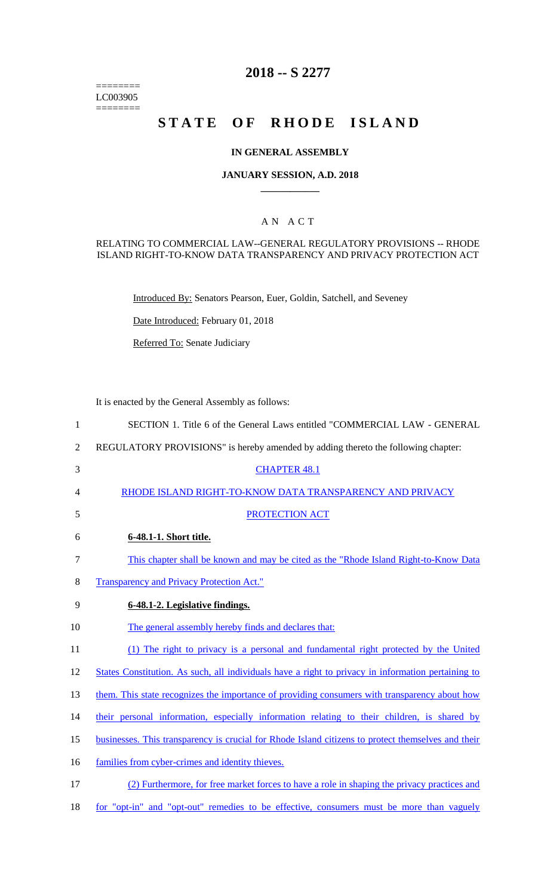======== LC003905 ========

# **2018 -- S 2277**

# **STATE OF RHODE ISLAND**

### **IN GENERAL ASSEMBLY**

### **JANUARY SESSION, A.D. 2018 \_\_\_\_\_\_\_\_\_\_\_\_**

### A N A C T

### RELATING TO COMMERCIAL LAW--GENERAL REGULATORY PROVISIONS -- RHODE ISLAND RIGHT-TO-KNOW DATA TRANSPARENCY AND PRIVACY PROTECTION ACT

Introduced By: Senators Pearson, Euer, Goldin, Satchell, and Seveney

Date Introduced: February 01, 2018

Referred To: Senate Judiciary

It is enacted by the General Assembly as follows:

| $\mathbf{1}$   | SECTION 1. Title 6 of the General Laws entitled "COMMERCIAL LAW - GENERAL                          |
|----------------|----------------------------------------------------------------------------------------------------|
| $\overline{2}$ | REGULATORY PROVISIONS" is hereby amended by adding thereto the following chapter:                  |
| 3              | <b>CHAPTER 48.1</b>                                                                                |
| 4              | RHODE ISLAND RIGHT-TO-KNOW DATA TRANSPARENCY AND PRIVACY                                           |
| 5              | PROTECTION ACT                                                                                     |
| 6              | 6-48.1-1. Short title.                                                                             |
| 7              | This chapter shall be known and may be cited as the "Rhode Island Right-to-Know Data"              |
| 8              | <b>Transparency and Privacy Protection Act."</b>                                                   |
| 9              | 6-48.1-2. Legislative findings.                                                                    |
| 10             | The general assembly hereby finds and declares that:                                               |
| 11             | (1) The right to privacy is a personal and fundamental right protected by the United               |
| 12             | States Constitution. As such, all individuals have a right to privacy in information pertaining to |
| 13             | them. This state recognizes the importance of providing consumers with transparency about how      |
| 14             | their personal information, especially information relating to their children, is shared by        |
| 15             | businesses. This transparency is crucial for Rhode Island citizens to protect themselves and their |
| 16             | families from cyber-crimes and identity thieves.                                                   |
| 17             | (2) Furthermore, for free market forces to have a role in shaping the privacy practices and        |
| 18             | for "opt-in" and "opt-out" remedies to be effective, consumers must be more than vaguely           |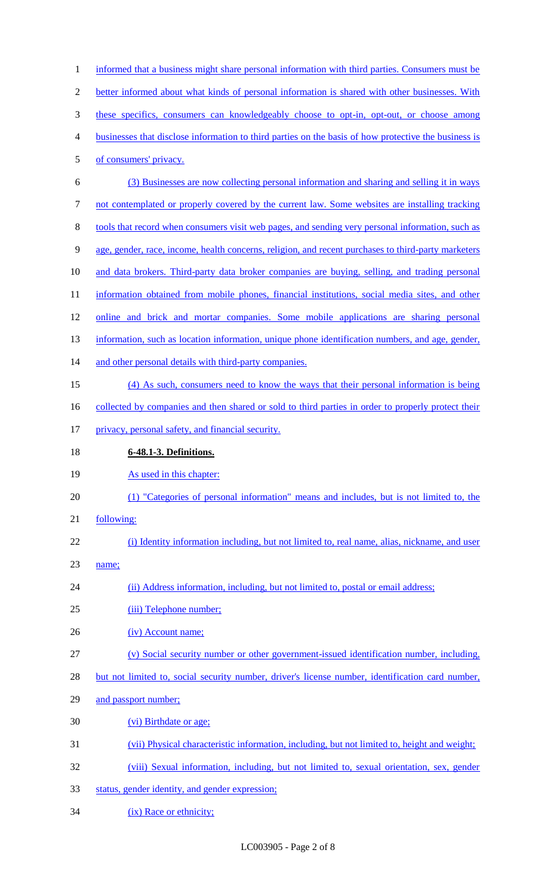| $\mathbf{1}$   | informed that a business might share personal information with third parties. Consumers must be                                              |
|----------------|----------------------------------------------------------------------------------------------------------------------------------------------|
| $\overline{2}$ | better informed about what kinds of personal information is shared with other businesses. With                                               |
| 3              | these specifics, consumers can knowledgeably choose to opt-in, opt-out, or choose among                                                      |
| $\overline{4}$ | businesses that disclose information to third parties on the basis of how protective the business is                                         |
| $\mathfrak{S}$ | of consumers' privacy.                                                                                                                       |
| 6              | (3) Businesses are now collecting personal information and sharing and selling it in ways                                                    |
| $\tau$         | not contemplated or properly covered by the current law. Some websites are installing tracking                                               |
| $8\,$          | tools that record when consumers visit web pages, and sending very personal information, such as                                             |
| $\overline{9}$ | age, gender, race, income, health concerns, religion, and recent purchases to third-party marketers                                          |
| 10             | and data brokers. Third-party data broker companies are buying, selling, and trading personal                                                |
| 11             | information obtained from mobile phones, financial institutions, social media sites, and other                                               |
| 12             | online and brick and mortar companies. Some mobile applications are sharing personal                                                         |
| 13             | information, such as location information, unique phone identification numbers, and age, gender,                                             |
| 14             | and other personal details with third-party companies.                                                                                       |
| 15             | (4) As such, consumers need to know the ways that their personal information is being                                                        |
| 16             | collected by companies and then shared or sold to third parties in order to properly protect their                                           |
| 17             | privacy, personal safety, and financial security.                                                                                            |
|                |                                                                                                                                              |
| 18             | 6-48.1-3. Definitions.                                                                                                                       |
| 19             | As used in this chapter:                                                                                                                     |
| 20             | (1) "Categories of personal information" means and includes, but is not limited to, the                                                      |
| 21             | following:                                                                                                                                   |
| 22             | (i) Identity information including, but not limited to, real name, alias, nickname, and user                                                 |
| 23             | name;                                                                                                                                        |
| 24             | (ii) Address information, including, but not limited to, postal or email address;                                                            |
| 25             | (iii) Telephone number;                                                                                                                      |
| 26             | (iv) Account name;                                                                                                                           |
| 27             | (v) Social security number or other government-issued identification number, including,                                                      |
| 28             | but not limited to, social security number, driver's license number, identification card number,                                             |
| 29             | and passport number;                                                                                                                         |
| 30             | (vi) Birthdate or age;                                                                                                                       |
| 31             | (vii) Physical characteristic information, including, but not limited to, height and weight;                                                 |
| 32             | (viii) Sexual information, including, but not limited to, sexual orientation, sex, gender<br>status, gender identity, and gender expression; |

34 (ix) Race or ethnicity;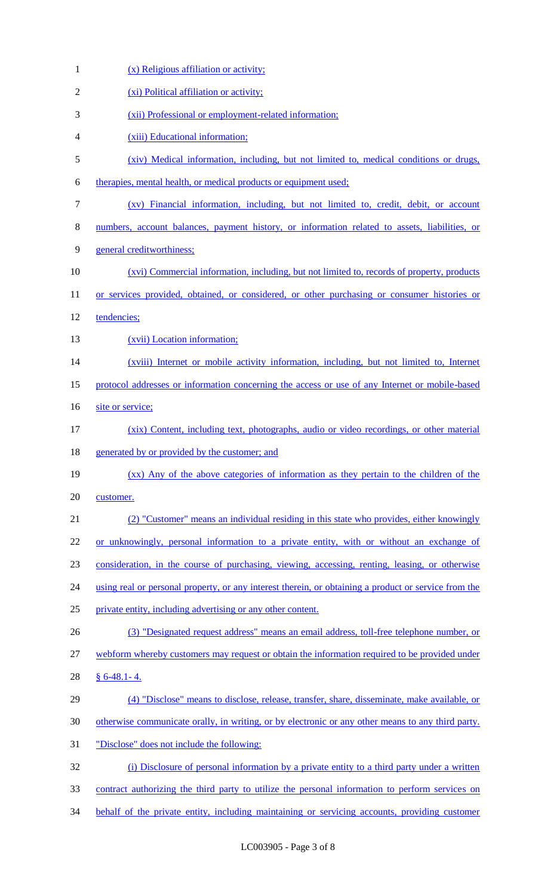| $\mathbf{1}$ | (x) Religious affiliation or activity;                                                               |
|--------------|------------------------------------------------------------------------------------------------------|
| 2            | (xi) Political affiliation or activity;                                                              |
| 3            | (xii) Professional or employment-related information;                                                |
| 4            | (xiii) Educational information;                                                                      |
| 5            | (xiv) Medical information, including, but not limited to, medical conditions or drugs,               |
| 6            | therapies, mental health, or medical products or equipment used;                                     |
| 7            | (xv) Financial information, including, but not limited to, credit, debit, or account                 |
| 8            | numbers, account balances, payment history, or information related to assets, liabilities, or        |
| 9            | general creditworthiness;                                                                            |
| 10           | (xvi) Commercial information, including, but not limited to, records of property, products           |
| 11           | or services provided, obtained, or considered, or other purchasing or consumer histories or          |
| 12           | tendencies;                                                                                          |
| 13           | (xvii) Location information;                                                                         |
| 14           | (xviii) Internet or mobile activity information, including, but not limited to, Internet             |
| 15           | protocol addresses or information concerning the access or use of any Internet or mobile-based       |
| 16           | site or service;                                                                                     |
| 17           | (xix) Content, including text, photographs, audio or video recordings, or other material             |
| 18           | generated by or provided by the customer; and                                                        |
| 19           | (xx) Any of the above categories of information as they pertain to the children of the               |
| 20           | customer.                                                                                            |
| 21           | (2) "Customer" means an individual residing in this state who provides, either knowingly             |
| 22           | or unknowingly, personal information to a private entity, with or without an exchange of             |
| 23           | consideration, in the course of purchasing, viewing, accessing, renting, leasing, or otherwise       |
| 24           | using real or personal property, or any interest therein, or obtaining a product or service from the |
| 25           | private entity, including advertising or any other content.                                          |
| 26           | (3) "Designated request address" means an email address, toll-free telephone number, or              |
| 27           | webform whereby customers may request or obtain the information required to be provided under        |
| 28           | $§ 6-48.1-4.$                                                                                        |
| 29           | (4) "Disclose" means to disclose, release, transfer, share, disseminate, make available, or          |
| 30           | otherwise communicate orally, in writing, or by electronic or any other means to any third party.    |
| 31           | "Disclose" does not include the following:                                                           |
| 32           | (i) Disclosure of personal information by a private entity to a third party under a written          |
| 33           | contract authorizing the third party to utilize the personal information to perform services on      |
| 34           | behalf of the private entity, including maintaining or servicing accounts, providing customer        |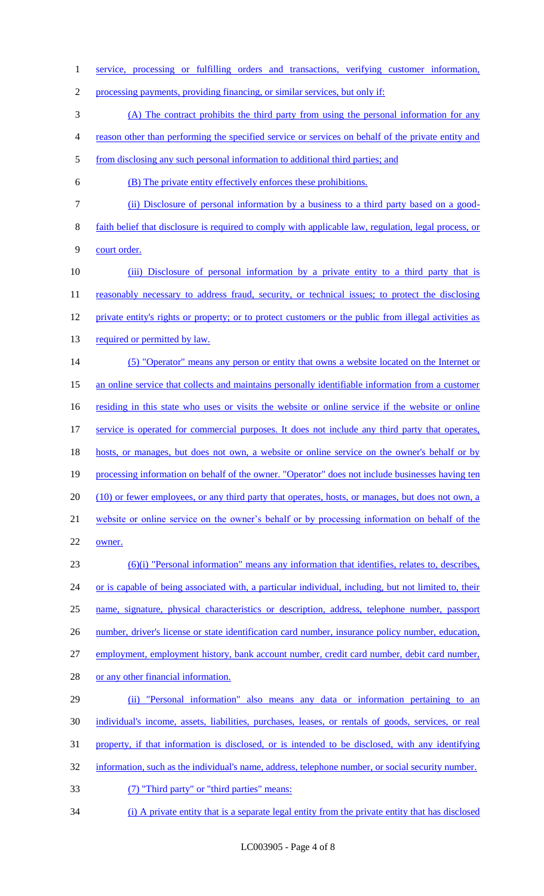service, processing or fulfilling orders and transactions, verifying customer information,

processing payments, providing financing, or similar services, but only if:

(A) The contract prohibits the third party from using the personal information for any

reason other than performing the specified service or services on behalf of the private entity and

5 from disclosing any such personal information to additional third parties; and

(B) The private entity effectively enforces these prohibitions.

(ii) Disclosure of personal information by a business to a third party based on a good-

 faith belief that disclosure is required to comply with applicable law, regulation, legal process, or court order.

 (iii) Disclosure of personal information by a private entity to a third party that is 11 reasonably necessary to address fraud, security, or technical issues; to protect the disclosing 12 private entity's rights or property; or to protect customers or the public from illegal activities as 13 required or permitted by law. (5) "Operator" means any person or entity that owns a website located on the Internet or

 an online service that collects and maintains personally identifiable information from a customer 16 residing in this state who uses or visits the website or online service if the website or online 17 service is operated for commercial purposes. It does not include any third party that operates, hosts, or manages, but does not own, a website or online service on the owner's behalf or by

processing information on behalf of the owner. "Operator" does not include businesses having ten

20 (10) or fewer employees, or any third party that operates, hosts, or manages, but does not own, a

website or online service on the owner's behalf or by processing information on behalf of the

owner.

 (6)(i) "Personal information" means any information that identifies, relates to, describes, 24 or is capable of being associated with, a particular individual, including, but not limited to, their name, signature, physical characteristics or description, address, telephone number, passport 26 number, driver's license or state identification card number, insurance policy number, education, employment, employment history, bank account number, credit card number, debit card number, or any other financial information. (ii) "Personal information" also means any data or information pertaining to an

individual's income, assets, liabilities, purchases, leases, or rentals of goods, services, or real

property, if that information is disclosed, or is intended to be disclosed, with any identifying

information, such as the individual's name, address, telephone number, or social security number.

(7) "Third party" or "third parties" means:

(i) A private entity that is a separate legal entity from the private entity that has disclosed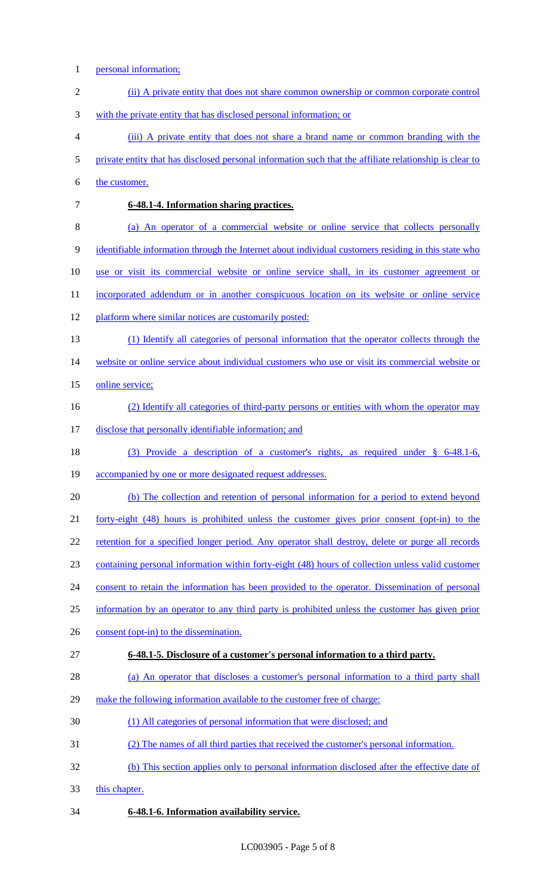- personal information;
- (ii) A private entity that does not share common ownership or common corporate control with the private entity that has disclosed personal information; or (iii) A private entity that does not share a brand name or common branding with the private entity that has disclosed personal information such that the affiliate relationship is clear to 6 the customer. **6-48.1-4. Information sharing practices.**  (a) An operator of a commercial website or online service that collects personally identifiable information through the Internet about individual customers residing in this state who use or visit its commercial website or online service shall, in its customer agreement or 11 incorporated addendum or in another conspicuous location on its website or online service 12 platform where similar notices are customarily posted: (1) Identify all categories of personal information that the operator collects through the 14 website or online service about individual customers who use or visit its commercial website or 15 online service; (2) Identify all categories of third-party persons or entities with whom the operator may disclose that personally identifiable information; and (3) Provide a description of a customer's rights, as required under § 6-48.1-6, accompanied by one or more designated request addresses. (b) The collection and retention of personal information for a period to extend beyond forty-eight (48) hours is prohibited unless the customer gives prior consent (opt-in) to the 22 retention for a specified longer period. Any operator shall destroy, delete or purge all records containing personal information within forty-eight (48) hours of collection unless valid customer 24 consent to retain the information has been provided to the operator. Dissemination of personal information by an operator to any third party is prohibited unless the customer has given prior 26 consent (opt-in) to the dissemination. **6-48.1-5. Disclosure of a customer's personal information to a third party.**  (a) An operator that discloses a customer's personal information to a third party shall make the following information available to the customer free of charge: (1) All categories of personal information that were disclosed; and (2) The names of all third parties that received the customer's personal information. (b) This section applies only to personal information disclosed after the effective date of this chapter. **6-48.1-6. Information availability service.**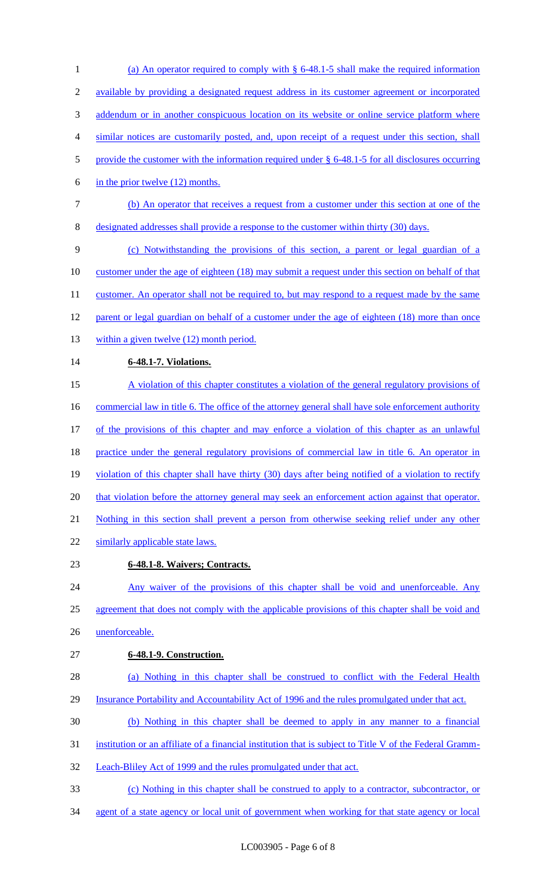(a) An operator required to comply with § 6-48.1-5 shall make the required information available by providing a designated request address in its customer agreement or incorporated 3 addendum or in another conspicuous location on its website or online service platform where similar notices are customarily posted, and, upon receipt of a request under this section, shall 5 provide the customer with the information required under § 6-48.1-5 for all disclosures occurring in the prior twelve (12) months.

7 (b) An operator that receives a request from a customer under this section at one of the 8 designated addresses shall provide a response to the customer within thirty (30) days.

9 (c) Notwithstanding the provisions of this section, a parent or legal guardian of a 10 customer under the age of eighteen (18) may submit a request under this section on behalf of that 11 customer. An operator shall not be required to, but may respond to a request made by the same 12 parent or legal guardian on behalf of a customer under the age of eighteen (18) more than once 13 within a given twelve (12) month period.

14 **6-48.1-7. Violations.** 

15 A violation of this chapter constitutes a violation of the general regulatory provisions of 16 commercial law in title 6. The office of the attorney general shall have sole enforcement authority 17 of the provisions of this chapter and may enforce a violation of this chapter as an unlawful 18 practice under the general regulatory provisions of commercial law in title 6. An operator in 19 violation of this chapter shall have thirty (30) days after being notified of a violation to rectify 20 that violation before the attorney general may seek an enforcement action against that operator. 21 Nothing in this section shall prevent a person from otherwise seeking relief under any other 22 similarly applicable state laws.

# 23 **6-48.1-8. Waivers; Contracts.**

24 Any waiver of the provisions of this chapter shall be void and unenforceable. Any 25 agreement that does not comply with the applicable provisions of this chapter shall be void and 26 unenforceable.

- 27 **6-48.1-9. Construction.**
- 28 (a) Nothing in this chapter shall be construed to conflict with the Federal Health 29 Insurance Portability and Accountability Act of 1996 and the rules promulgated under that act.
- 30 (b) Nothing in this chapter shall be deemed to apply in any manner to a financial
- 31 institution or an affiliate of a financial institution that is subject to Title V of the Federal Gramm-
- 32 Leach-Bliley Act of 1999 and the rules promulgated under that act.
- 33 (c) Nothing in this chapter shall be construed to apply to a contractor, subcontractor, or
- 34 agent of a state agency or local unit of government when working for that state agency or local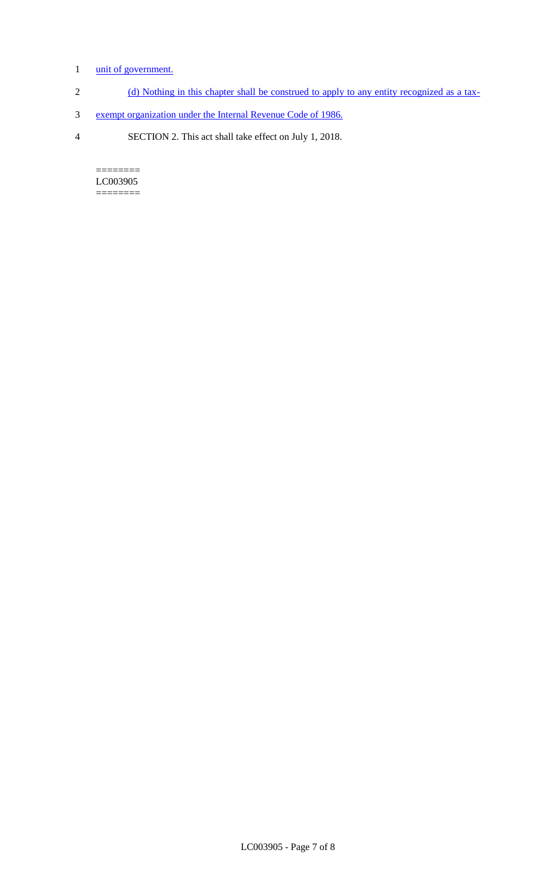# 1 unit of government.

- 2 (d) Nothing in this chapter shall be construed to apply to any entity recognized as a tax-
- 3 exempt organization under the Internal Revenue Code of 1986.
- 4 SECTION 2. This act shall take effect on July 1, 2018.

======== LC003905  $=$